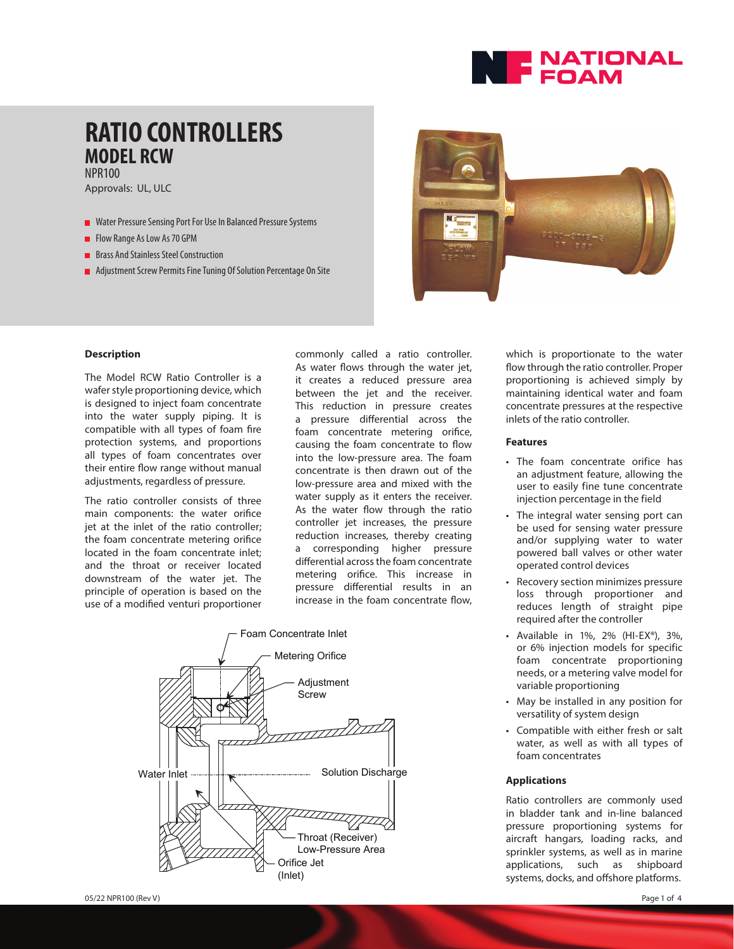

## **RATIO CONTROLLERS MODEL RCW** NPR100

Approvals: UL, ULC

- Water Pressure Sensing Port For Use In Balanced Pressure Systems
- Flow Range As Low As 70 GPM
- **Brass And Stainless Steel Construction**
- **Adjustment Screw Permits Fine Tuning Of Solution Percentage On Site**



#### **Description**

The Model RCW Ratio Controller is a wafer style proportioning device, which is designed to inject foam concentrate into the water supply piping. It is compatible with all types of foam fire protection systems, and proportions all types of foam concentrates over their entire flow range without manual adjustments, regardless of pressure.

The ratio controller consists of three main components: the water orifice jet at the inlet of the ratio controller; the foam concentrate metering orifice located in the foam concentrate inlet; and the throat or receiver located downstream of the water jet. The principle of operation is based on the use of a modified venturi proportioner commonly called a ratio controller. As water flows through the water jet, it creates a reduced pressure area between the jet and the receiver. This reduction in pressure creates a pressure differential across the foam concentrate metering orifice, causing the foam concentrate to flow into the low-pressure area. The foam concentrate is then drawn out of the low-pressure area and mixed with the water supply as it enters the receiver. As the water flow through the ratio controller jet increases, the pressure reduction increases, thereby creating a corresponding higher pressure differential across the foam concentrate metering orifice. This increase in pressure differential results in an increase in the foam concentrate flow,



which is proportionate to the water flow through the ratio controller. Proper proportioning is achieved simply by maintaining identical water and foam concentrate pressures at the respective inlets of the ratio controller.

#### **Features**

- The foam concentrate orifice has an adjustment feature, allowing the user to easily fine tune concentrate injection percentage in the field
- The integral water sensing port can be used for sensing water pressure and/or supplying water to water powered ball valves or other water operated control devices
- Recovery section minimizes pressure loss through proportioner and reduces length of straight pipe required after the controller
- Available in 1%, 2% (HI-EX®), 3%, or 6% injection models for specific foam concentrate proportioning needs, or a metering valve model for variable proportioning
- May be installed in any position for versatility of system design
- Compatible with either fresh or salt water, as well as with all types of foam concentrates

#### **Applications**

Ratio controllers are commonly used in bladder tank and in-line balanced pressure proportioning systems for aircraft hangars, loading racks, and sprinkler systems, as well as in marine applications, such as shipboard systems, docks, and offshore platforms.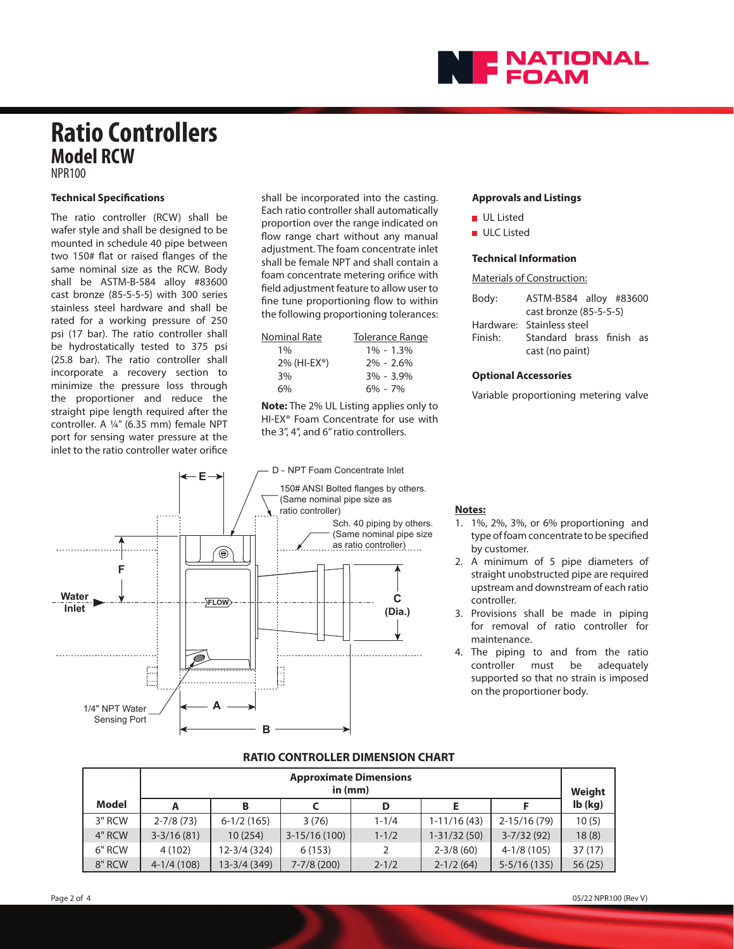

## **Ratio Controllers Model RCW** NPR100

#### **Technical Specifications**

The ratio controller (RCW) shall be wafer style and shall be designed to be mounted in schedule 40 pipe between two 150# flat or raised flanges of the same nominal size as the RCW. Body shall be ASTM-B-584 alloy #83600 cast bronze (85-5-5-5) with 300 series stainless steel hardware and shall be rated for a working pressure of 250 psi (17 bar). The ratio controller shall be hydrostatically tested to 375 psi (25.8 bar). The ratio controller shall incorporate a recovery section to minimize the pressure loss through the proportioner and reduce the straight pipe length required after the controller. A ¼" (6.35 mm) female NPT port for sensing water pressure at the inlet to the ratio controller water orifice

shall be incorporated into the casting. Each ratio controller shall automatically proportion over the range indicated on flow range chart without any manual adjustment. The foam concentrate inlet shall be female NPT and shall contain a foam concentrate metering orifice with field adjustment feature to allow user to fine tune proportioning flow to within the following proportioning tolerances:

| Nominal Rate                | <b>Tolerance Range</b> |
|-----------------------------|------------------------|
| $1\%$                       | $1\% - 1.3\%$          |
| $2\%$ (HI-EX <sup>®</sup> ) | $2\% - 2.6\%$          |
| 3%                          | $3\% - 3.9\%$          |
| 6%                          | $6\% - 7\%$            |

**Note:** The 2% UL Listing applies only to HI-EX® Foam Concentrate for use with the 3", 4", and 6" ratio controllers.



#### **Approvals and Listings**

- **UL Listed**
- **ULC** Listed

#### **Technical Information**

Materials of Construction:

| Body:   | ASTM-B584 alloy #83600    |  |  |  |  |
|---------|---------------------------|--|--|--|--|
|         | cast bronze (85-5-5-5)    |  |  |  |  |
|         | Hardware: Stainless steel |  |  |  |  |
| Finish: | Standard brass finish as  |  |  |  |  |
|         | cast (no paint)           |  |  |  |  |

#### **Optional Accessories**

Variable proportioning metering valve

#### **Notes:**

- 1. 1%, 2%, 3%, or 6% proportioning and type of foam concentrate to be specified by customer.
- 2. A minimum of 5 pipe diameters of straight unobstructed pipe are required upstream and downstream of each ratio controller.
- 3. Provisions shall be made in piping for removal of ratio controller for maintenance.
- 4. The piping to and from the ratio controller must be adequately supported so that no strain is imposed on the proportioner body.

#### **RATIO CONTROLLER DIMENSION CHART**

|        | <b>Approximate Dimensions</b><br>in $(mm)$ |              |                 |           |                 |                 | Weight    |
|--------|--------------------------------------------|--------------|-----------------|-----------|-----------------|-----------------|-----------|
| Model  |                                            | в            |                 | D         |                 |                 | $Ib$ (kg) |
| 3" RCW | $2 - 7/8(73)$                              | $6-1/2(165)$ | 3(76)           | $1 - 1/4$ | $1-11/16(43)$   | $2 - 15/16(79)$ | 10(5)     |
| 4" RCW | $3-3/16(81)$                               | 10(254)      | $3-15/16(100)$  | $1 - 1/2$ | $1 - 31/32(50)$ | $3-7/32(92)$    | 18(8)     |
| 6" RCW | 4(102)                                     | 12-3/4 (324) | 6(153)          | 2         | $2 - 3/8(60)$   | $4-1/8(105)$    | 37(17)    |
| 8" RCW | $4-1/4(108)$                               | 13-3/4 (349) | $7 - 7/8$ (200) | $2 - 1/2$ | $2-1/2(64)$     | $5-5/16(135)$   | 56(25)    |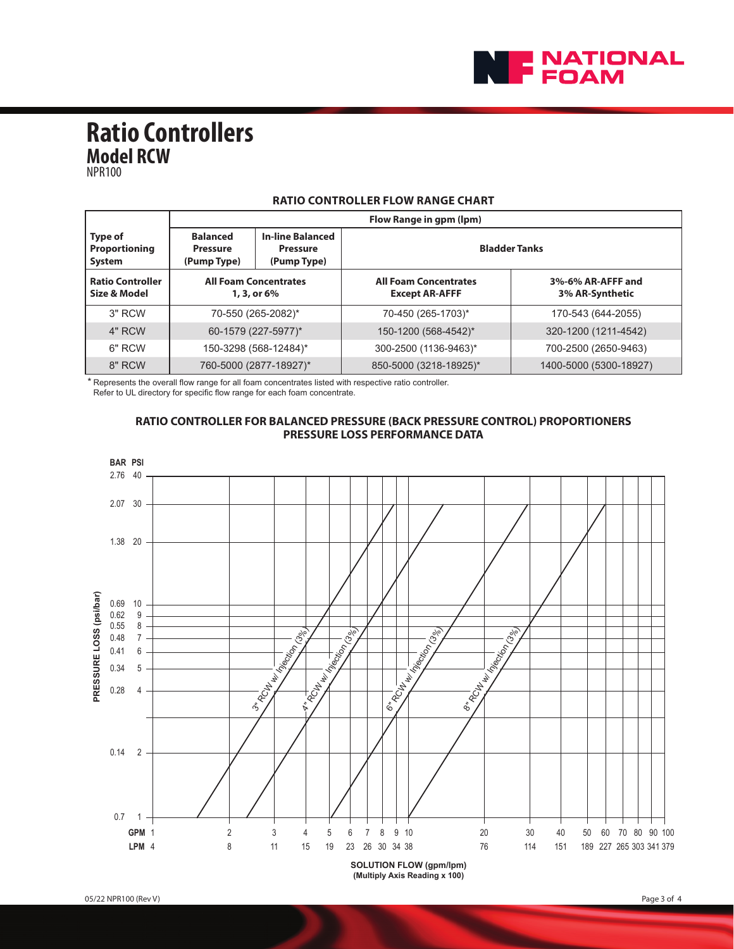

**Ratio Controllers Model RCW**

NPR100

|                                         | Flow Range in gpm (lpm)                                                                                        |  |                                                       |                                      |  |
|-----------------------------------------|----------------------------------------------------------------------------------------------------------------|--|-------------------------------------------------------|--------------------------------------|--|
| Type of<br>Proportioning<br>System      | <b>In-line Balanced</b><br><b>Balanced</b><br><b>Pressure</b><br><b>Pressure</b><br>(Pump Type)<br>(Pump Type) |  | <b>Bladder Tanks</b>                                  |                                      |  |
| <b>Ratio Controller</b><br>Size & Model | <b>All Foam Concentrates</b><br>1, 3, or 6%                                                                    |  | <b>All Foam Concentrates</b><br><b>Except AR-AFFF</b> | 3%-6% AR-AFFF and<br>3% AR-Synthetic |  |
| $3"$ RCW                                | 70-550 (265-2082)*                                                                                             |  | 70-450 (265-1703)*                                    | 170-543 (644-2055)                   |  |
| 4" RCW                                  | 60-1579 (227-5977)*                                                                                            |  | 150-1200 (568-4542)*                                  | 320-1200 (1211-4542)                 |  |
| 6" RCW                                  | 150-3298 (568-12484)*                                                                                          |  | 300-2500 (1136-9463)*                                 | 700-2500 (2650-9463)                 |  |
| 8" RCW                                  | 760-5000 (2877-18927)*                                                                                         |  | 850-5000 (3218-18925)*                                | 1400-5000 (5300-18927)               |  |

### **RATIO CONTROLLER FLOW RANGE CHART**

\* Represents the overall flow range for all foam concentrates listed with respective ratio controller.

Refer to UL directory for specific flow range for each foam concentrate.